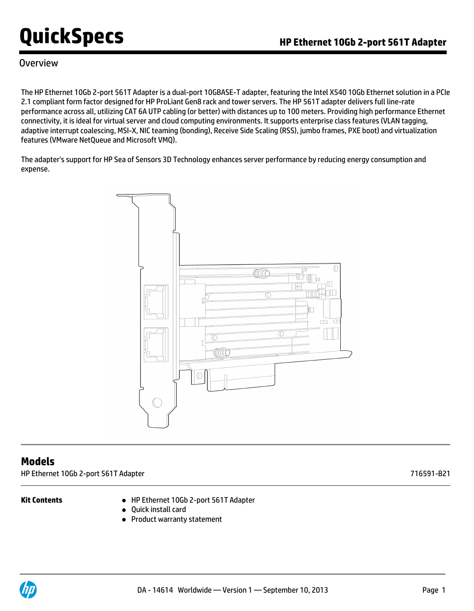### Overview

The HP Ethernet 10Gb 2-port 561T Adapter is a dual-port 10GBASE-T adapter, featuring the Intel X540 10Gb Ethernet solution in a PCIe 2.1 compliant form factor designed for HP ProLiant Gen8 rack and tower servers. The HP 561T adapter delivers full line-rate performance across all, utilizing CAT 6A UTP cabling (or better) with distances up to 100 meters. Providing high performance Ethernet connectivity, it is ideal for virtual server and cloud computing environments. It supports enterprise class features (VLAN tagging, adaptive interrupt coalescing, MSI-X, NIC teaming (bonding), Receive Side Scaling (RSS), jumbo frames, PXE boot) and virtualization features (VMware NetQueue and Microsoft VMQ).

The adapter's support for HP Sea of Sensors 3D Technology enhances server performance by reducing energy consumption and expense.



### **Models**

HP Ethernet 10Gb 2-port 561T Adapter 716591-B21

- **Kit Contents** HP Ethernet 10Gb 2-port 561T Adapter
	- Quick install card
	- Product warranty statement

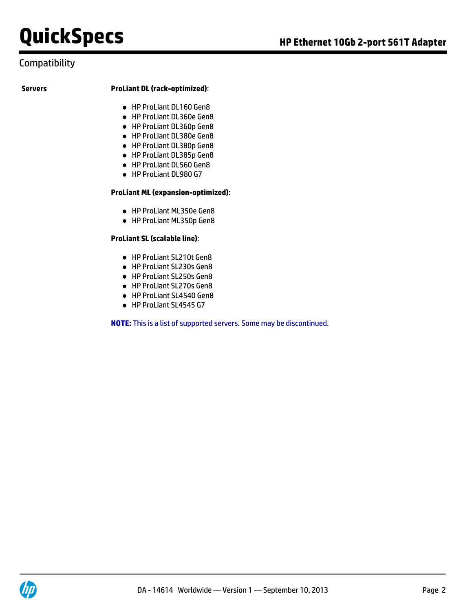## **Compatibility**

### **Servers ProLiant DL (rack-optimized)**:

- HP ProLiant DL160 Gen8
- HP ProLiant DL360e Gen8
- HP ProLiant DL360p Gen8
- HP ProLiant DL380e Gen8
- HP ProLiant DL380p Gen8
- HP ProLiant DL385p Gen8
- HP ProLiant DL560 Gen8
- HP ProLiant DL980 G7

### **ProLiant ML (expansion-optimized)**:

- HP ProLiant ML350e Gen8
- HP ProLiant ML350p Gen8

### **ProLiant SL (scalable line)**:

- HP ProLiant SL210t Gen8
- HP ProLiant SL230s Gen8
- HP ProLiant SL250s Gen8
- HP ProLiant SL270s Gen8
- HP ProLiant SL4540 Gen8
- HP ProLiant SL4545 G7

**NOTE:** This is a list of supported servers. Some may be discontinued.

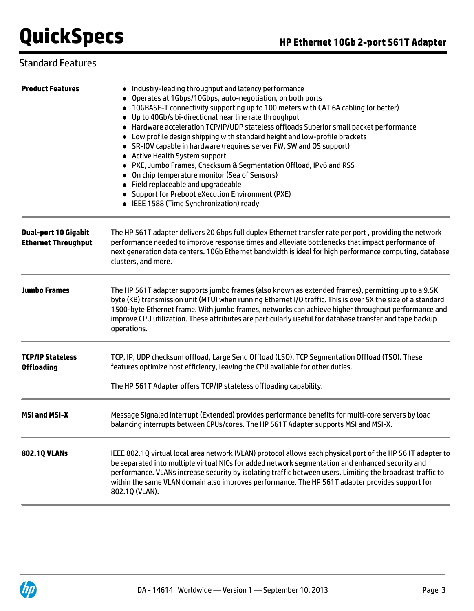# Standard Features

| <b>Product Features</b>                                   | • Industry-leading throughput and latency performance<br>Operates at 1Gbps/10Gbps, auto-negotiation, on both ports<br>• 10GBASE-T connectivity supporting up to 100 meters with CAT 6A cabling (or better)<br>• Up to 40Gb/s bi-directional near line rate throughput<br>• Hardware acceleration TCP/IP/UDP stateless offloads Superior small packet performance<br>• Low profile design shipping with standard height and low-profile brackets<br>• SR-IOV capable in hardware (requires server FW, SW and OS support)<br>• Active Health System support<br>• PXE, Jumbo Frames, Checksum & Segmentation Offload, IPv6 and RSS<br>• On chip temperature monitor (Sea of Sensors)<br>• Field replaceable and upgradeable<br>• Support for Preboot eXecution Environment (PXE)<br>• IEEE 1588 (Time Synchronization) ready |  |  |
|-----------------------------------------------------------|---------------------------------------------------------------------------------------------------------------------------------------------------------------------------------------------------------------------------------------------------------------------------------------------------------------------------------------------------------------------------------------------------------------------------------------------------------------------------------------------------------------------------------------------------------------------------------------------------------------------------------------------------------------------------------------------------------------------------------------------------------------------------------------------------------------------------|--|--|
| <b>Dual-port 10 Gigabit</b><br><b>Ethernet Throughput</b> | The HP 561T adapter delivers 20 Gbps full duplex Ethernet transfer rate per port, providing the network<br>performance needed to improve response times and alleviate bottlenecks that impact performance of<br>next generation data centers. 10Gb Ethernet bandwidth is ideal for high performance computing, database<br>clusters, and more.                                                                                                                                                                                                                                                                                                                                                                                                                                                                            |  |  |
| <b>Jumbo Frames</b>                                       | The HP 561T adapter supports jumbo frames (also known as extended frames), permitting up to a 9.5K<br>byte (KB) transmission unit (MTU) when running Ethernet I/O traffic. This is over 5X the size of a standard<br>1500-byte Ethernet frame. With jumbo frames, networks can achieve higher throughput performance and<br>improve CPU utilization. These attributes are particularly useful for database transfer and tape backup<br>operations.                                                                                                                                                                                                                                                                                                                                                                        |  |  |
| <b>TCP/IP Stateless</b><br><b>Offloading</b>              | TCP, IP, UDP checksum offload, Large Send Offload (LSO), TCP Segmentation Offload (TSO). These<br>features optimize host efficiency, leaving the CPU available for other duties.<br>The HP 561T Adapter offers TCP/IP stateless offloading capability.                                                                                                                                                                                                                                                                                                                                                                                                                                                                                                                                                                    |  |  |
| <b>MSI and MSI-X</b>                                      | Message Signaled Interrupt (Extended) provides performance benefits for multi-core servers by load<br>balancing interrupts between CPUs/cores. The HP 561T Adapter supports MSI and MSI-X.                                                                                                                                                                                                                                                                                                                                                                                                                                                                                                                                                                                                                                |  |  |
| <b>802.10 VLANS</b>                                       | IEEE 802.1Q virtual local area network (VLAN) protocol allows each physical port of the HP 561T adapter to<br>be separated into multiple virtual NICs for added network segmentation and enhanced security and<br>performance. VLANs increase security by isolating traffic between users. Limiting the broadcast traffic to<br>within the same VLAN domain also improves performance. The HP 561T adapter provides support for<br>802.1Q (VLAN).                                                                                                                                                                                                                                                                                                                                                                         |  |  |

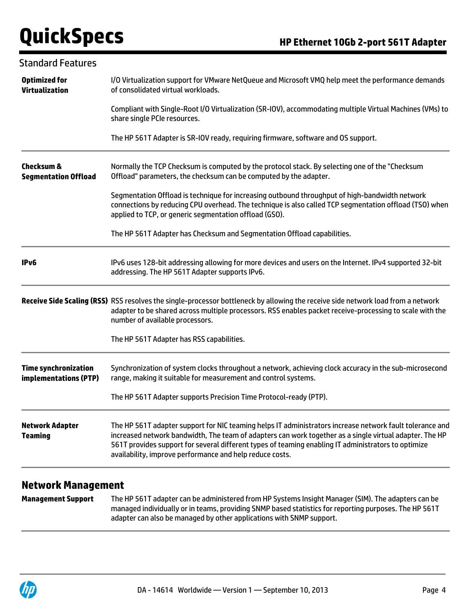| <b>Standard Features</b>                             |                                                                                                                                                                                                                                                                                                                                                                                        |  |  |
|------------------------------------------------------|----------------------------------------------------------------------------------------------------------------------------------------------------------------------------------------------------------------------------------------------------------------------------------------------------------------------------------------------------------------------------------------|--|--|
| <b>Optimized for</b><br><b>Virtualization</b>        | I/O Virtualization support for VMware NetQueue and Microsoft VMQ help meet the performance demands<br>of consolidated virtual workloads.                                                                                                                                                                                                                                               |  |  |
|                                                      | Compliant with Single-Root I/O Virtualization (SR-IOV), accommodating multiple Virtual Machines (VMs) to<br>share single PCIe resources.                                                                                                                                                                                                                                               |  |  |
|                                                      | The HP 561T Adapter is SR-IOV ready, requiring firmware, software and OS support.                                                                                                                                                                                                                                                                                                      |  |  |
| <b>Checksum &amp;</b><br><b>Segmentation Offload</b> | Normally the TCP Checksum is computed by the protocol stack. By selecting one of the "Checksum<br>Offload" parameters, the checksum can be computed by the adapter.                                                                                                                                                                                                                    |  |  |
|                                                      | Segmentation Offload is technique for increasing outbound throughput of high-bandwidth network<br>connections by reducing CPU overhead. The technique is also called TCP segmentation offload (TSO) when<br>applied to TCP, or generic segmentation offload (GSO).                                                                                                                     |  |  |
|                                                      | The HP 561T Adapter has Checksum and Segmentation Offload capabilities.                                                                                                                                                                                                                                                                                                                |  |  |
| IP <sub>v6</sub>                                     | IPv6 uses 128-bit addressing allowing for more devices and users on the Internet. IPv4 supported 32-bit<br>addressing. The HP 561T Adapter supports IPv6.                                                                                                                                                                                                                              |  |  |
|                                                      | Receive Side Scaling (RSS) RSS resolves the single-processor bottleneck by allowing the receive side network load from a network<br>adapter to be shared across multiple processors. RSS enables packet receive-processing to scale with the<br>number of available processors.                                                                                                        |  |  |
|                                                      | The HP 561T Adapter has RSS capabilities.                                                                                                                                                                                                                                                                                                                                              |  |  |
| <b>Time synchronization</b><br>implementations (PTP) | Synchronization of system clocks throughout a network, achieving clock accuracy in the sub-microsecond<br>range, making it suitable for measurement and control systems.                                                                                                                                                                                                               |  |  |
|                                                      | The HP 561T Adapter supports Precision Time Protocol-ready (PTP).                                                                                                                                                                                                                                                                                                                      |  |  |
| <b>Network Adapter</b><br><b>Teaming</b>             | The HP 561T adapter support for NIC teaming helps IT administrators increase network fault tolerance and<br>increased network bandwidth, The team of adapters can work together as a single virtual adapter. The HP<br>561T provides support for several different types of teaming enabling IT administrators to optimize<br>availability, improve performance and help reduce costs. |  |  |
|                                                      |                                                                                                                                                                                                                                                                                                                                                                                        |  |  |

### **Network Management**

**Management Support** The HP 561T adapter can be administered from HP Systems Insight Manager (SIM). The adapters can be managed individually or in teams, providing SNMP based statistics for reporting purposes. The HP 561T adapter can also be managed by other applications with SNMP support.

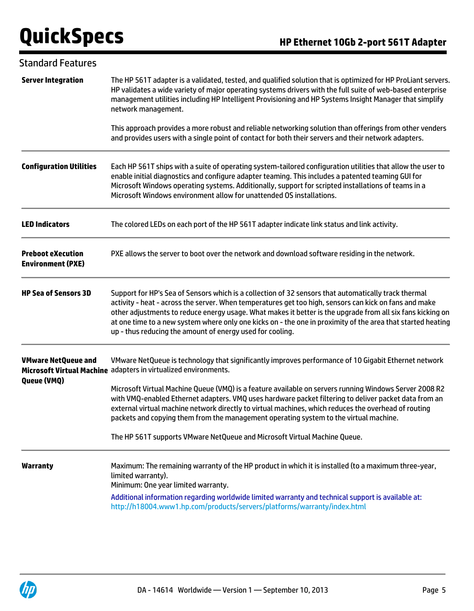| <b>Standard Features</b>                             |                                                                                                                                                                                                                                                                                                                                                                                                                                                                                                          |
|------------------------------------------------------|----------------------------------------------------------------------------------------------------------------------------------------------------------------------------------------------------------------------------------------------------------------------------------------------------------------------------------------------------------------------------------------------------------------------------------------------------------------------------------------------------------|
| <b>Server Integration</b>                            | The HP 561T adapter is a validated, tested, and qualified solution that is optimized for HP ProLiant servers.<br>HP validates a wide variety of major operating systems drivers with the full suite of web-based enterprise<br>management utilities including HP Intelligent Provisioning and HP Systems Insight Manager that simplify<br>network management.                                                                                                                                            |
|                                                      | This approach provides a more robust and reliable networking solution than offerings from other venders<br>and provides users with a single point of contact for both their servers and their network adapters.                                                                                                                                                                                                                                                                                          |
| <b>Configuration Utilities</b>                       | Each HP 561T ships with a suite of operating system-tailored configuration utilities that allow the user to<br>enable initial diagnostics and configure adapter teaming. This includes a patented teaming GUI for<br>Microsoft Windows operating systems. Additionally, support for scripted installations of teams in a<br>Microsoft Windows environment allow for unattended OS installations.                                                                                                         |
| <b>LED Indicators</b>                                | The colored LEDs on each port of the HP 561T adapter indicate link status and link activity.                                                                                                                                                                                                                                                                                                                                                                                                             |
| <b>Preboot eXecution</b><br><b>Environment (PXE)</b> | PXE allows the server to boot over the network and download software residing in the network.                                                                                                                                                                                                                                                                                                                                                                                                            |
| <b>HP Sea of Sensors 3D</b>                          | Support for HP's Sea of Sensors which is a collection of 32 sensors that automatically track thermal<br>activity - heat - across the server. When temperatures get too high, sensors can kick on fans and make<br>other adjustments to reduce energy usage. What makes it better is the upgrade from all six fans kicking on<br>at one time to a new system where only one kicks on - the one in proximity of the area that started heating<br>up - thus reducing the amount of energy used for cooling. |
| <b>VMware NetQueue and</b>                           | VMware NetQueue is technology that significantly improves performance of 10 Gigabit Ethernet network<br>Microsoft Virtual Machine adapters in virtualized environments.                                                                                                                                                                                                                                                                                                                                  |
| Queue (VMQ)                                          | Microsoft Virtual Machine Queue (VMQ) is a feature available on servers running Windows Server 2008 R2<br>with VMQ-enabled Ethernet adapters. VMQ uses hardware packet filtering to deliver packet data from an<br>external virtual machine network directly to virtual machines, which reduces the overhead of routing<br>packets and copying them from the management operating system to the virtual machine.                                                                                         |
|                                                      | The HP 561T supports VMware NetQueue and Microsoft Virtual Machine Queue.                                                                                                                                                                                                                                                                                                                                                                                                                                |
| <b>Warranty</b>                                      | Maximum: The remaining warranty of the HP product in which it is installed (to a maximum three-year,<br>limited warranty).<br>Minimum: One year limited warranty.<br>Additional information regarding worldwide limited warranty and technical support is available at:<br>http://h18004.www1.hp.com/products/servers/platforms/warranty/index.html                                                                                                                                                      |

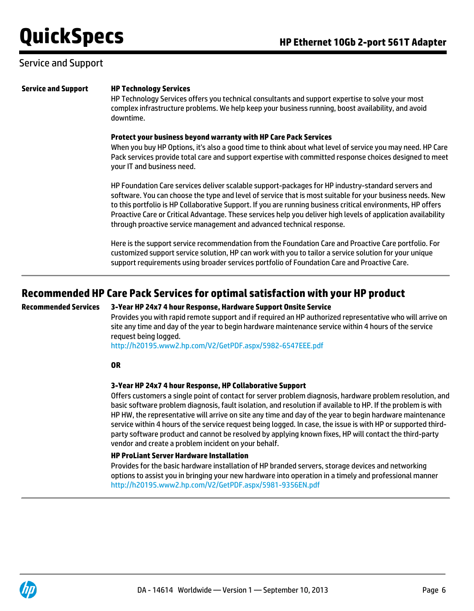### Service and Support

#### **Service and Support HP Technology Services**

HP Technology Services offers you technical consultants and support expertise to solve your most complex infrastructure problems. We help keep your business running, boost availability, and avoid downtime.

#### **Protect your business beyond warranty with HP Care Pack Services**

When you buy HP Options, it's also a good time to think about what level of service you may need. HP Care Pack services provide total care and support expertise with committed response choices designed to meet your IT and business need.

HP Foundation Care services deliver scalable support-packages for HP industry-standard servers and software. You can choose the type and level of service that is most suitable for your business needs. New to this portfolio is HP Collaborative Support. If you are running business critical environments, HP offers Proactive Care or Critical Advantage. These services help you deliver high levels of application availability through proactive service management and advanced technical response.

Here is the support service recommendation from the Foundation Care and Proactive Care portfolio. For customized support service solution, HP can work with you to tailor a service solution for your unique support requirements using broader services portfolio of Foundation Care and Proactive Care.

## **Recommended HP Care Pack Services for optimal satisfaction with your HP product**

### **Recommended Services 3-Year HP 24x7 4 hour Response, Hardware Support Onsite Service**

Provides you with rapid remote support and if required an HP authorized representative who will arrive on site any time and day of the year to begin hardware maintenance service within 4 hours of the service request being logged.

<http://h20195.www2.hp.com/V2/GetPDF.aspx/5982-6547EEE.pdf>

#### **OR**

### **3-Year HP 24x7 4 hour Response, HP Collaborative Support**

Offers customers a single point of contact for server problem diagnosis, hardware problem resolution, and basic software problem diagnosis, fault isolation, and resolution if available to HP. If the problem is with HP HW, the representative will arrive on site any time and day of the year to begin hardware maintenance service within 4 hours of the service request being logged. In case, the issue is with HP or supported thirdparty software product and cannot be resolved by applying known fixes, HP will contact the third-party vendor and create a problem incident on your behalf.

### **HP ProLiant Server Hardware Installation**

Provides for the basic hardware installation of HP branded servers, storage devices and networking options to assist you in bringing your new hardware into operation in a timely and professional manner <http://h20195.www2.hp.com/V2/GetPDF.aspx/5981-9356EN.pdf>

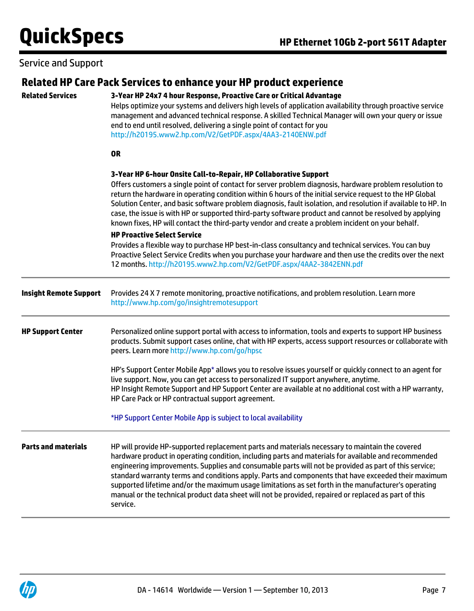# Service and Support

|                               | Related HP Care Pack Services to enhance your HP product experience                                                                                                                                                                                                                                                                                                                                                                                                                                                                                                                                                                                                                                                                                                     |  |  |  |
|-------------------------------|-------------------------------------------------------------------------------------------------------------------------------------------------------------------------------------------------------------------------------------------------------------------------------------------------------------------------------------------------------------------------------------------------------------------------------------------------------------------------------------------------------------------------------------------------------------------------------------------------------------------------------------------------------------------------------------------------------------------------------------------------------------------------|--|--|--|
| <b>Related Services</b>       | 3-Year HP 24x7 4 hour Response, Proactive Care or Critical Advantage<br>Helps optimize your systems and delivers high levels of application availability through proactive service<br>management and advanced technical response. A skilled Technical Manager will own your query or issue<br>end to end until resolved, delivering a single point of contact for you<br>http://h20195.www2.hp.com/V2/GetPDF.aspx/4AA3-2140ENW.pdf                                                                                                                                                                                                                                                                                                                                      |  |  |  |
|                               | <b>OR</b>                                                                                                                                                                                                                                                                                                                                                                                                                                                                                                                                                                                                                                                                                                                                                               |  |  |  |
|                               | 3-Year HP 6-hour Onsite Call-to-Repair, HP Collaborative Support<br>Offers customers a single point of contact for server problem diagnosis, hardware problem resolution to<br>return the hardware in operating condition within 6 hours of the initial service request to the HP Global<br>Solution Center, and basic software problem diagnosis, fault isolation, and resolution if available to HP. In<br>case, the issue is with HP or supported third-party software product and cannot be resolved by applying<br>known fixes, HP will contact the third-party vendor and create a problem incident on your behalf.<br><b>HP Proactive Select Service</b><br>Provides a flexible way to purchase HP best-in-class consultancy and technical services. You can buy |  |  |  |
|                               | Proactive Select Service Credits when you purchase your hardware and then use the credits over the next<br>12 months. http://h20195.www2.hp.com/V2/GetPDF.aspx/4AA2-3842ENN.pdf                                                                                                                                                                                                                                                                                                                                                                                                                                                                                                                                                                                         |  |  |  |
| <b>Insight Remote Support</b> | Provides 24 X 7 remote monitoring, proactive notifications, and problem resolution. Learn more<br>http://www.hp.com/go/insightremotesupport                                                                                                                                                                                                                                                                                                                                                                                                                                                                                                                                                                                                                             |  |  |  |
| <b>HP Support Center</b>      | Personalized online support portal with access to information, tools and experts to support HP business<br>products. Submit support cases online, chat with HP experts, access support resources or collaborate with<br>peers. Learn more http://www.hp.com/go/hpsc                                                                                                                                                                                                                                                                                                                                                                                                                                                                                                     |  |  |  |
|                               | HP's Support Center Mobile App* allows you to resolve issues yourself or quickly connect to an agent for<br>live support. Now, you can get access to personalized IT support anywhere, anytime.<br>HP Insight Remote Support and HP Support Center are available at no additional cost with a HP warranty,<br>HP Care Pack or HP contractual support agreement.                                                                                                                                                                                                                                                                                                                                                                                                         |  |  |  |
|                               | *HP Support Center Mobile App is subject to local availability                                                                                                                                                                                                                                                                                                                                                                                                                                                                                                                                                                                                                                                                                                          |  |  |  |
| <b>Parts and materials</b>    | HP will provide HP-supported replacement parts and materials necessary to maintain the covered<br>hardware product in operating condition, including parts and materials for available and recommended<br>engineering improvements. Supplies and consumable parts will not be provided as part of this service;<br>standard warranty terms and conditions apply. Parts and components that have exceeded their maximum<br>supported lifetime and/or the maximum usage limitations as set forth in the manufacturer's operating<br>manual or the technical product data sheet will not be provided, repaired or replaced as part of this<br>service.                                                                                                                     |  |  |  |

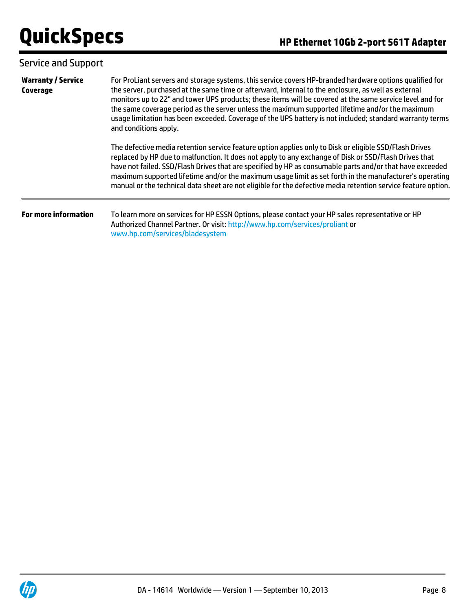# Service and Support

| <b>Warranty / Service</b><br>Coverage | For ProLiant servers and storage systems, this service covers HP-branded hardware options qualified for<br>the server, purchased at the same time or afterward, internal to the enclosure, as well as external<br>monitors up to 22" and tower UPS products; these items will be covered at the same service level and for<br>the same coverage period as the server unless the maximum supported lifetime and/or the maximum<br>usage limitation has been exceeded. Coverage of the UPS battery is not included; standard warranty terms<br>and conditions apply. |  |  |
|---------------------------------------|--------------------------------------------------------------------------------------------------------------------------------------------------------------------------------------------------------------------------------------------------------------------------------------------------------------------------------------------------------------------------------------------------------------------------------------------------------------------------------------------------------------------------------------------------------------------|--|--|
|                                       | The defective media retention service feature option applies only to Disk or eligible SSD/Flash Drives<br>replaced by HP due to malfunction. It does not apply to any exchange of Disk or SSD/Flash Drives that<br>have not failed. SSD/Flash Drives that are specified by HP as consumable parts and/or that have exceeded<br>maximum supported lifetime and/or the maximum usage limit as set forth in the manufacturer's operating<br>manual or the technical data sheet are not eligible for the defective media retention service feature option.             |  |  |
| <b>For more information</b>           | To learn more on services for HP ESSN Options, please contact your HP sales representative or HP<br>Authorized Channel Partner. Or visit: http://www.hp.com/services/proliant or<br>www.hp.com/services/bladesystem                                                                                                                                                                                                                                                                                                                                                |  |  |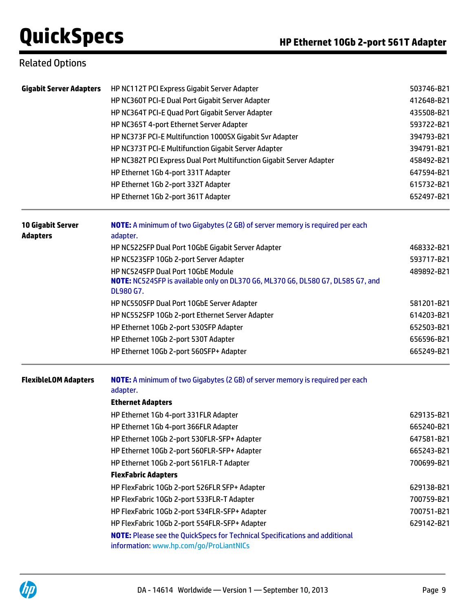## Related Options

| <b>Gigabit Server Adapters</b>              | HP NC112T PCI Express Gigabit Server Adapter                                                 | 503746-B21               |  |  |
|---------------------------------------------|----------------------------------------------------------------------------------------------|--------------------------|--|--|
|                                             | HP NC360T PCI-E Dual Port Gigabit Server Adapter                                             | 412648-B21               |  |  |
|                                             | HP NC364T PCI-E Quad Port Gigabit Server Adapter                                             | 435508-B21               |  |  |
|                                             | HP NC365T 4-port Ethernet Server Adapter                                                     | 593722-B21               |  |  |
|                                             | HP NC373F PCI-E Multifunction 1000SX Gigabit Svr Adapter                                     | 394793-B21               |  |  |
|                                             | HP NC373T PCI-E Multifunction Gigabit Server Adapter                                         | 394791-B21<br>458492-B21 |  |  |
|                                             | HP NC382T PCI Express Dual Port Multifunction Gigabit Server Adapter                         |                          |  |  |
|                                             | HP Ethernet 1Gb 4-port 331T Adapter                                                          | 647594-B21               |  |  |
|                                             | HP Ethernet 1Gb 2-port 332T Adapter                                                          | 615732-B21               |  |  |
|                                             | HP Ethernet 1Gb 2-port 361T Adapter                                                          | 652497-B21               |  |  |
| <b>10 Gigabit Server</b><br><b>Adapters</b> | NOTE: A minimum of two Gigabytes (2 GB) of server memory is required per each<br>adapter.    |                          |  |  |
|                                             | HP NC522SFP Dual Port 10GbE Gigabit Server Adapter                                           | 468332-B21               |  |  |
|                                             | HP NC523SFP 10Gb 2-port Server Adapter                                                       | 593717-B21               |  |  |
|                                             | HP NC524SFP Dual Port 10GbE Module                                                           | 489892-B21               |  |  |
|                                             | NOTE: NC524SFP is available only on DL370 G6, ML370 G6, DL580 G7, DL585 G7, and<br>DL980 G7. |                          |  |  |
|                                             | HP NC550SFP Dual Port 10GbE Server Adapter                                                   | 581201-B21               |  |  |
|                                             | HP NC552SFP 10Gb 2-port Ethernet Server Adapter                                              | 614203-B21               |  |  |
|                                             | HP Ethernet 10Gb 2-port 530SFP Adapter                                                       | 652503-B21               |  |  |
|                                             | HP Ethernet 10Gb 2-port 530T Adapter                                                         | 656596-B21               |  |  |
|                                             | HP Ethernet 10Gb 2-port 560SFP+ Adapter                                                      | 665249-B21               |  |  |
| <b>FlexibleLOM Adapters</b>                 | NOTE: A minimum of two Gigabytes (2 GB) of server memory is required per each<br>adapter.    |                          |  |  |
|                                             | <b>Ethernet Adapters</b>                                                                     |                          |  |  |
|                                             | HP Ethernet 1Gb 4-port 331FLR Adapter                                                        | 629135-B21               |  |  |
|                                             | HP Ethernet 1Gb 4-port 366FLR Adapter                                                        | 665240-B21               |  |  |
|                                             | HP Ethernet 10Gb 2-port 530FLR-SFP+ Adapter                                                  | 647581-B21               |  |  |
|                                             | HP Ethernet 10Gb 2-port 560FLR-SFP+ Adapter                                                  | 665243-B21               |  |  |
|                                             | HP Ethernet 10Gb 2-port 561FLR-T Adapter                                                     | 700699-B21               |  |  |
|                                             | <b>FlexFabric Adapters</b>                                                                   |                          |  |  |
|                                             | HP FlexFabric 10Gb 2-port 526FLR SFP+ Adapter                                                | 629138-B21               |  |  |
|                                             | HP FlexFabric 10Gb 2-port 533FLR-T Adapter                                                   | 700759-B21               |  |  |
|                                             | HP FlexFabric 10Gb 2-port 534FLR-SFP+ Adapter                                                | 700751-B21               |  |  |
|                                             | HP FlexFabric 10Gb 2-port 554FLR-SFP+ Adapter<br>629142-B21                                  |                          |  |  |
|                                             | <b>NOTE:</b> Please see the QuickSpecs for Technical Specifications and additional           |                          |  |  |

information: [www.hp.com/go/ProLiantNICs](http://www.hp.com/go/ProLiantNICs)

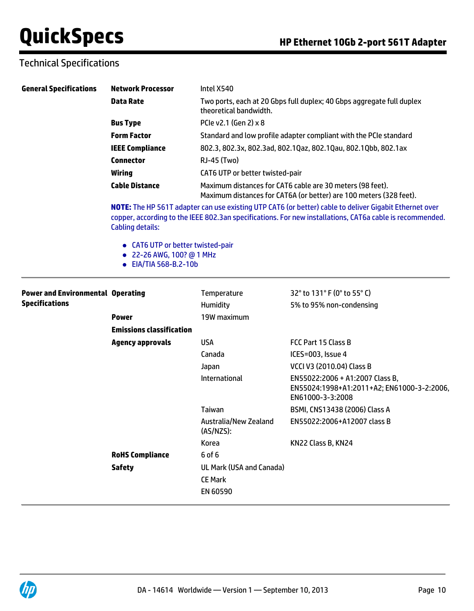# Technical Specifications

| <b>General Specifications</b>            | <b>Network Processor</b>                                                                | Intel X540                                                                                                               |                                                                                                                                                                                                                    |  |
|------------------------------------------|-----------------------------------------------------------------------------------------|--------------------------------------------------------------------------------------------------------------------------|--------------------------------------------------------------------------------------------------------------------------------------------------------------------------------------------------------------------|--|
|                                          | <b>Data Rate</b>                                                                        | Two ports, each at 20 Gbps full duplex; 40 Gbps aggregate full duplex<br>theoretical bandwidth.<br>PCIe v2.1 (Gen 2) x 8 |                                                                                                                                                                                                                    |  |
|                                          | <b>Bus Type</b>                                                                         |                                                                                                                          |                                                                                                                                                                                                                    |  |
|                                          | <b>Form Factor</b>                                                                      |                                                                                                                          | Standard and low profile adapter compliant with the PCIe standard                                                                                                                                                  |  |
|                                          | <b>IEEE Compliance</b>                                                                  | 802.3, 802.3x, 802.3ad, 802.1Qaz, 802.1Qau, 802.1Qbb, 802.1ax                                                            |                                                                                                                                                                                                                    |  |
|                                          | <b>Connector</b>                                                                        | RJ-45 (Two)                                                                                                              |                                                                                                                                                                                                                    |  |
|                                          | <b>Wiring</b>                                                                           | CAT6 UTP or better twisted-pair                                                                                          |                                                                                                                                                                                                                    |  |
|                                          | <b>Cable Distance</b>                                                                   |                                                                                                                          | Maximum distances for CAT6 cable are 30 meters (98 feet).<br>Maximum distances for CAT6A (or better) are 100 meters (328 feet).                                                                                    |  |
|                                          | <b>Cabling details:</b>                                                                 |                                                                                                                          | NOTE: The HP 561T adapter can use existing UTP CAT6 (or better) cable to deliver Gigabit Ethernet over<br>copper, according to the IEEE 802.3an specifications. For new installations, CAT6a cable is recommended. |  |
|                                          | • CAT6 UTP or better twisted-pair<br>● 22-26 AWG, 100? @ 1 MHz<br>• EIA/TIA 568-B.2-10b |                                                                                                                          |                                                                                                                                                                                                                    |  |
| <b>Power and Environmental Operating</b> |                                                                                         | Temperature                                                                                                              | 32° to 131° F (0° to 55° C)                                                                                                                                                                                        |  |
| <b>Specifications</b>                    |                                                                                         | Humidity                                                                                                                 | 5% to 95% non-condensing                                                                                                                                                                                           |  |
|                                          | <b>Power</b>                                                                            | 19W maximum                                                                                                              |                                                                                                                                                                                                                    |  |
|                                          | <b>Emissions classification</b>                                                         |                                                                                                                          |                                                                                                                                                                                                                    |  |
|                                          | <b>Agency approvals</b>                                                                 | <b>USA</b>                                                                                                               | FCC Part 15 Class B                                                                                                                                                                                                |  |
|                                          |                                                                                         | Canada                                                                                                                   | ICES=003, Issue 4                                                                                                                                                                                                  |  |
|                                          |                                                                                         | Japan                                                                                                                    | VCCI V3 (2010.04) Class B                                                                                                                                                                                          |  |
|                                          |                                                                                         | International                                                                                                            | EN55022:2006 + A1:2007 Class B,<br>EN55024:1998+A1:2011+A2; EN61000-3-2:2006,<br>EN61000-3-3:2008                                                                                                                  |  |
|                                          |                                                                                         | Taiwan                                                                                                                   | BSMI, CNS13438 (2006) Class A                                                                                                                                                                                      |  |
|                                          |                                                                                         | Australia/New Zealand<br>(AS/NZS):                                                                                       | EN55022:2006+A12007 class B                                                                                                                                                                                        |  |
|                                          |                                                                                         | Korea                                                                                                                    | KN22 Class B, KN24                                                                                                                                                                                                 |  |
|                                          | <b>RoHS Compliance</b>                                                                  | 6 of 6                                                                                                                   |                                                                                                                                                                                                                    |  |
|                                          | <b>Safety</b>                                                                           | UL Mark (USA and Canada)                                                                                                 |                                                                                                                                                                                                                    |  |
|                                          |                                                                                         | <b>CE Mark</b>                                                                                                           |                                                                                                                                                                                                                    |  |
|                                          |                                                                                         | EN 60590                                                                                                                 |                                                                                                                                                                                                                    |  |